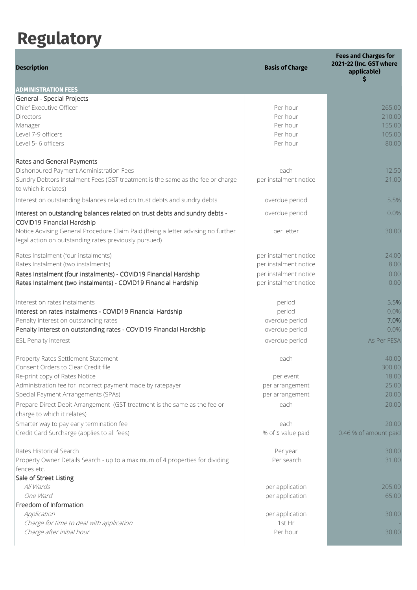## Regulatory

| <b>Description</b>                                                                                                                        | <b>Basis of Charge</b> | <b>Fees and Charges for</b><br>2021-22 (Inc. GST where<br>applicable)<br>Ś |
|-------------------------------------------------------------------------------------------------------------------------------------------|------------------------|----------------------------------------------------------------------------|
| <b>ADMINISTRATION FEES</b>                                                                                                                |                        |                                                                            |
| General - Special Projects                                                                                                                |                        |                                                                            |
| Chief Executive Officer                                                                                                                   | Per hour               | 265.00                                                                     |
| <b>Directors</b>                                                                                                                          | Per hour               | 210.00                                                                     |
| Manager                                                                                                                                   | Per hour               | 155.00                                                                     |
| Level 7-9 officers                                                                                                                        | Per hour               | 105.00                                                                     |
| Level 5-6 officers                                                                                                                        | Per hour               | 80.00                                                                      |
| Rates and General Payments                                                                                                                |                        |                                                                            |
| Dishonoured Payment Administration Fees                                                                                                   | each                   | 12.50                                                                      |
| Sundry Debtors Instalment Fees (GST treatment is the same as the fee or charge<br>to which it relates)                                    | per instalment notice  | 21.00                                                                      |
| Interest on outstanding balances related on trust debts and sundry debts                                                                  | overdue period         | 5.5%                                                                       |
| Interest on outstanding balances related on trust debts and sundry debts -<br>COVID19 Financial Hardship                                  | overdue period         | 0.0%                                                                       |
| Notice Advising General Procedure Claim Paid (Being a letter advising no further<br>legal action on outstanding rates previously pursued) | per letter             | 30.00                                                                      |
| Rates Instalment (four instalments)                                                                                                       | per instalment notice  | 24.00                                                                      |
| Rates Instalment (two instalments)                                                                                                        | per instalment notice  | 8.00                                                                       |
| Rates Instalment (four instalments) - COVID19 Financial Hardship                                                                          | per instalment notice  | 0.00                                                                       |
| Rates Instalment (two instalments) - COVID19 Financial Hardship                                                                           | per instalment notice  | 0.00                                                                       |
| Interest on rates instalments                                                                                                             | period                 | 5.5%                                                                       |
| Interest on rates instalments - COVID19 Financial Hardship                                                                                | period                 | 0.0%                                                                       |
| Penalty interest on outstanding rates                                                                                                     | overdue period         | 7.0%                                                                       |
| Penalty interest on outstanding rates - COVID19 Financial Hardship                                                                        | overdue period         | 0.0%                                                                       |
| <b>ESL Penalty interest</b>                                                                                                               | overdue period         | As Per FESA                                                                |
| Property Rates Settlement Statement                                                                                                       | each                   | 40.00                                                                      |
| Consent Orders to Clear Credit file                                                                                                       |                        | 300.00                                                                     |
| Re-print copy of Rates Notice                                                                                                             | per event              | 18.00                                                                      |
| Administration fee for incorrect payment made by ratepayer                                                                                | per arrangement        | 25.00                                                                      |
| Special Payment Arrangements (SPAs)                                                                                                       | per arrangement        | 20.00                                                                      |
| Prepare Direct Debit Arrangement (GST treatment is the same as the fee or<br>charge to which it relates)                                  | each                   | 20.00                                                                      |
| Smarter way to pay early termination fee                                                                                                  | each                   | 20.00                                                                      |
| Credit Card Surcharge (applies to all fees)                                                                                               | % of \$ value paid     | 0.46 % of amount paid                                                      |
| Rates Historical Search                                                                                                                   | Per year               | 30.00                                                                      |
| Property Owner Details Search - up to a maximum of 4 properties for dividing                                                              | Per search             | 31.00                                                                      |
| fences etc.                                                                                                                               |                        |                                                                            |
| Sale of Street Listing                                                                                                                    |                        |                                                                            |
| All Wards                                                                                                                                 | per application        | 205.00                                                                     |
| One Ward                                                                                                                                  | per application        | 65.00                                                                      |
| Freedom of Information                                                                                                                    |                        |                                                                            |
| Application                                                                                                                               | per application        | 30.00                                                                      |
| Charge for time to deal with application                                                                                                  | 1st Hr<br>Per hour     | 30.00                                                                      |
| Charge after initial hour                                                                                                                 |                        |                                                                            |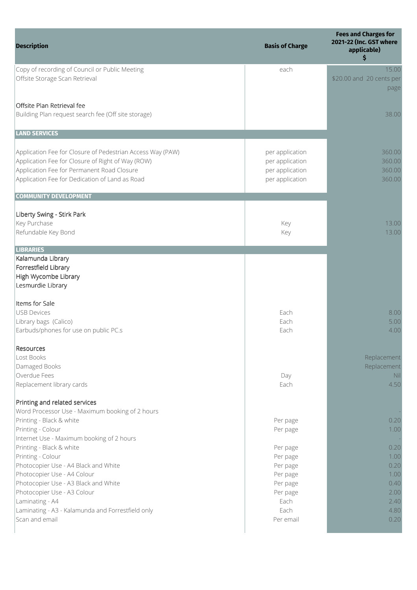| <b>Description</b>                                                                                                                                                                                                                                                                                                                                                                                                                                                      | <b>Basis of Charge</b>                                                                                                    | <b>Fees and Charges for</b><br>2021-22 (Inc. GST where<br>applicable)<br>\$          |
|-------------------------------------------------------------------------------------------------------------------------------------------------------------------------------------------------------------------------------------------------------------------------------------------------------------------------------------------------------------------------------------------------------------------------------------------------------------------------|---------------------------------------------------------------------------------------------------------------------------|--------------------------------------------------------------------------------------|
| Copy of recording of Council or Public Meeting<br>Offsite Storage Scan Retrieval                                                                                                                                                                                                                                                                                                                                                                                        | each                                                                                                                      | 15.00<br>\$20.00 and 20 cents per<br>page                                            |
| Offsite Plan Retrieval fee<br>Building Plan request search fee (Off site storage)                                                                                                                                                                                                                                                                                                                                                                                       |                                                                                                                           | 38.00                                                                                |
| <b>LAND SERVICES</b>                                                                                                                                                                                                                                                                                                                                                                                                                                                    |                                                                                                                           |                                                                                      |
| Application Fee for Closure of Pedestrian Access Way (PAW)<br>Application Fee for Closure of Right of Way (ROW)<br>Application Fee for Permanent Road Closure<br>Application Fee for Dedication of Land as Road                                                                                                                                                                                                                                                         | per application<br>per application<br>per application<br>per application                                                  | 360.00<br>360.00<br>360.00<br>360.00                                                 |
| <b>COMMUNITY DEVELOPMENT</b>                                                                                                                                                                                                                                                                                                                                                                                                                                            |                                                                                                                           |                                                                                      |
| Liberty Swing - Stirk Park<br>Key Purchase<br>Refundable Key Bond                                                                                                                                                                                                                                                                                                                                                                                                       | Key<br>Key                                                                                                                | 13.00<br>13.00                                                                       |
| <b>LIBRARIES</b><br>Kalamunda Library<br>Forrestfield Library<br>High Wycombe Library<br>Lesmurdie Library                                                                                                                                                                                                                                                                                                                                                              |                                                                                                                           |                                                                                      |
| Items for Sale<br>USB Devices<br>Library bags (Calico)<br>Earbuds/phones for use on public PC.s                                                                                                                                                                                                                                                                                                                                                                         | Each<br>Each<br>Each                                                                                                      | 8.00<br>5.00<br>4.00                                                                 |
| Resources<br>Lost Books<br>Damaged Books<br>Overdue Fees<br>Replacement library cards                                                                                                                                                                                                                                                                                                                                                                                   | Day<br>Each                                                                                                               | Replacement<br>Replacement<br><b>Nil</b><br>4.50                                     |
| Printing and related services<br>Word Processor Use - Maximum booking of 2 hours<br>Printing - Black & white<br>Printing - Colour<br>Internet Use - Maximum booking of 2 hours<br>Printing - Black & white<br>Printing - Colour<br>Photocopier Use - A4 Black and White<br>Photocopier Use - A4 Colour<br>Photocopier Use - A3 Black and White<br>Photocopier Use - A3 Colour<br>Laminating - A4<br>Laminating - A3 - Kalamunda and Forrestfield only<br>Scan and email | Per page<br>Per page<br>Per page<br>Per page<br>Per page<br>Per page<br>Per page<br>Per page<br>Each<br>Each<br>Per email | 0.20<br>1.00<br>0.20<br>1.00<br>0.20<br>1.00<br>0.40<br>2.00<br>2.40<br>4.80<br>0.20 |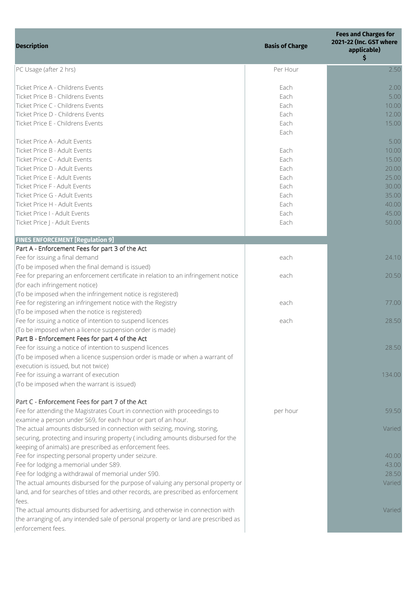| <b>Description</b>                                                                                                                                                                                                                                                                                                                     | <b>Basis of Charge</b>                                               | <b>Fees and Charges for</b><br>2021-22 (Inc. GST where<br>applicable)<br>\$           |
|----------------------------------------------------------------------------------------------------------------------------------------------------------------------------------------------------------------------------------------------------------------------------------------------------------------------------------------|----------------------------------------------------------------------|---------------------------------------------------------------------------------------|
| PC Usage (after 2 hrs)                                                                                                                                                                                                                                                                                                                 | Per Hour                                                             | 2.50                                                                                  |
| Ticket Price A - Childrens Events<br>Ticket Price B - Childrens Events<br>Ticket Price C - Childrens Events<br>Ticket Price D - Childrens Events                                                                                                                                                                                       | Each<br>Each<br>Each<br>Each                                         | 2.00<br>5.00<br>10.00<br>12.00                                                        |
| Ticket Price E - Childrens Events                                                                                                                                                                                                                                                                                                      | Each<br>Each                                                         | 15.00                                                                                 |
| Ticket Price A - Adult Events<br>Ticket Price B - Adult Events<br>Ticket Price C - Adult Events<br>Ticket Price D - Adult Events<br>Ticket Price E - Adult Events<br>Ticket Price F - Adult Events<br>Ticket Price G - Adult Events<br>Ticket Price H - Adult Events<br>Ticket Price I - Adult Events<br>Ticket Price J - Adult Events | Each<br>Each<br>Each<br>Each<br>Each<br>Each<br>Each<br>Each<br>Each | 5.00<br>10.00<br>15.00<br>20.00<br>25.00<br>30.00<br>35.00<br>40.00<br>45.00<br>50.00 |
| <b>FINES ENFORCEMENT [Regulation 9]</b>                                                                                                                                                                                                                                                                                                |                                                                      |                                                                                       |
| Part A - Enforcement Fees for part 3 of the Act<br>Fee for issuing a final demand                                                                                                                                                                                                                                                      | each                                                                 | 24.10                                                                                 |
| (To be imposed when the final demand is issued)<br>Fee for preparing an enforcement certificate in relation to an infringement notice<br>(for each infringement notice)                                                                                                                                                                | each                                                                 | 20.50                                                                                 |
| (To be imposed when the infringement notice is registered)<br>Fee for registering an infringement notice with the Registry<br>(To be imposed when the notice is registered)                                                                                                                                                            | each                                                                 | 77.00                                                                                 |
| Fee for issuing a notice of intention to suspend licences<br>(To be imposed when a licence suspension order is made)<br>Part B - Enforcement Fees for part 4 of the Act                                                                                                                                                                | each                                                                 | 28.50                                                                                 |
| Fee for issuing a notice of intention to suspend licences<br>(To be imposed when a licence suspension order is made or when a warrant of<br>execution is issued, but not twice)                                                                                                                                                        |                                                                      | 28.50                                                                                 |
| Fee for issuing a warrant of execution<br>(To be imposed when the warrant is issued)                                                                                                                                                                                                                                                   |                                                                      | 134.00                                                                                |
| Part C - Enforcement Fees for part 7 of the Act<br>Fee for attending the Magistrates Court in connection with proceedings to<br>examine a person under S69, for each hour or part of an hour.                                                                                                                                          | per hour                                                             | 59.50                                                                                 |
| The actual amounts disbursed in connection with seizing, moving, storing,<br>securing, protecting and insuring property (including amounts disbursed for the<br>keeping of animals) are prescribed as enforcement fees.                                                                                                                |                                                                      | Varied                                                                                |
| Fee for inspecting personal property under seizure.<br>Fee for lodging a memorial under S89.<br>Fee for lodging a withdrawal of memorial under S90.                                                                                                                                                                                    |                                                                      | 40.00<br>43.00<br>28.50                                                               |
| The actual amounts disbursed for the purpose of valuing any personal property or<br>land, and for searches of titles and other records, are prescribed as enforcement<br>fees.                                                                                                                                                         |                                                                      | Varied                                                                                |
| The actual amounts disbursed for advertising, and otherwise in connection with<br>the arranging of, any intended sale of personal property or land are prescribed as<br>enforcement fees.                                                                                                                                              |                                                                      | Varied                                                                                |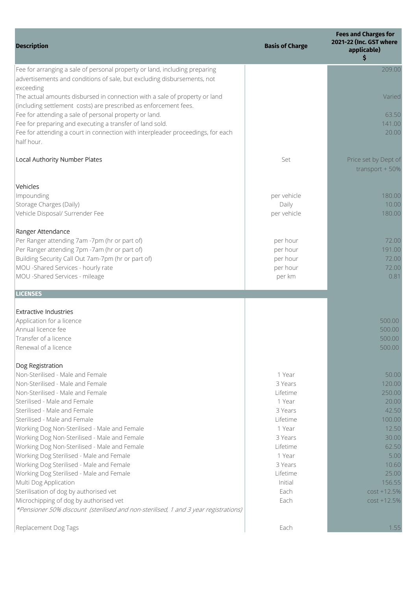| <b>Description</b>                                                                                                                                                                                    | <b>Basis of Charge</b>                     | <b>Fees and Charges for</b><br>2021-22 (Inc. GST where<br>applicable)<br>\$ |
|-------------------------------------------------------------------------------------------------------------------------------------------------------------------------------------------------------|--------------------------------------------|-----------------------------------------------------------------------------|
| Fee for arranging a sale of personal property or land, including preparing<br>advertisements and conditions of sale, but excluding disbursements, not                                                 |                                            | 209.00                                                                      |
| exceeding<br>The actual amounts disbursed in connection with a sale of property or land<br>(including settlement costs) are prescribed as enforcement fees.                                           |                                            | Varied                                                                      |
| Fee for attending a sale of personal property or land.<br>Fee for preparing and executing a transfer of land sold.<br>Fee for attending a court in connection with interpleader proceedings, for each |                                            | 63.50<br>141.00<br>20.00                                                    |
| half hour.<br>Local Authority Number Plates                                                                                                                                                           | Set                                        | Price set by Dept of<br>transport $+50%$                                    |
| Vehicles                                                                                                                                                                                              |                                            |                                                                             |
| Impounding<br>Storage Charges (Daily)<br>Vehicle Disposal/ Surrender Fee                                                                                                                              | per vehicle<br>Daily<br>per vehicle        | 180.00<br>10.00<br>180.00                                                   |
| Ranger Attendance<br>Per Ranger attending 7am -7pm (hr or part of)                                                                                                                                    | per hour                                   | 72.00                                                                       |
| Per Ranger attending 7pm -7am (hr or part of)<br>Building Security Call Out 7am-7pm (hr or part of)<br>MOU -Shared Services - hourly rate<br>MOU -Shared Services - mileage                           | per hour<br>per hour<br>per hour<br>per km | 191.00<br>72.00<br>72.00<br>0.81                                            |
| <b>LICENSES</b>                                                                                                                                                                                       |                                            |                                                                             |
| <b>Extractive Industries</b><br>Application for a licence                                                                                                                                             |                                            | 500.00                                                                      |
| Annual licence fee                                                                                                                                                                                    |                                            | 500.00                                                                      |
| Transfer of a licence                                                                                                                                                                                 |                                            | 500.00                                                                      |
| Renewal of a licence                                                                                                                                                                                  |                                            | 500.00                                                                      |
| Dog Registration<br>Non-Sterilised - Male and Female                                                                                                                                                  | 1 Year                                     | 50.00                                                                       |
| Non-Sterilised - Male and Female                                                                                                                                                                      | 3 Years                                    | 120.00                                                                      |
| Non-Sterilised - Male and Female                                                                                                                                                                      | Lifetime                                   | 250.00                                                                      |
| Sterilised - Male and Female                                                                                                                                                                          | 1 Year                                     | 20.00                                                                       |
| Sterilised - Male and Female                                                                                                                                                                          | 3 Years                                    | 42.50                                                                       |
| Sterilised - Male and Female                                                                                                                                                                          | Lifetime                                   | 100.00                                                                      |
| Working Dog Non-Sterilised - Male and Female                                                                                                                                                          | 1 Year                                     | 12.50                                                                       |
| Working Dog Non-Sterilised - Male and Female                                                                                                                                                          | 3 Years                                    | 30.00                                                                       |
| Working Dog Non-Sterilised - Male and Female<br>Working Dog Sterilised - Male and Female                                                                                                              | Lifetime<br>1 Year                         | 62.50<br>5.00                                                               |
| Working Dog Sterilised - Male and Female                                                                                                                                                              | 3 Years                                    | 10.60                                                                       |
| Working Dog Sterilised - Male and Female                                                                                                                                                              | Lifetime                                   | 25.00                                                                       |
| Multi Dog Application                                                                                                                                                                                 | Initial                                    | 156.55                                                                      |
| Sterilisation of dog by authorised vet                                                                                                                                                                | Each                                       | $cost + 12.5%$                                                              |
| Microchipping of dog by authorised vet                                                                                                                                                                | Each                                       | $cost + 12.5%$                                                              |
| *Pensioner 50% discount (sterilised and non-sterilised, 1 and 3 year registrations)                                                                                                                   |                                            |                                                                             |
| Replacement Dog Tags                                                                                                                                                                                  | Each                                       | 1.55                                                                        |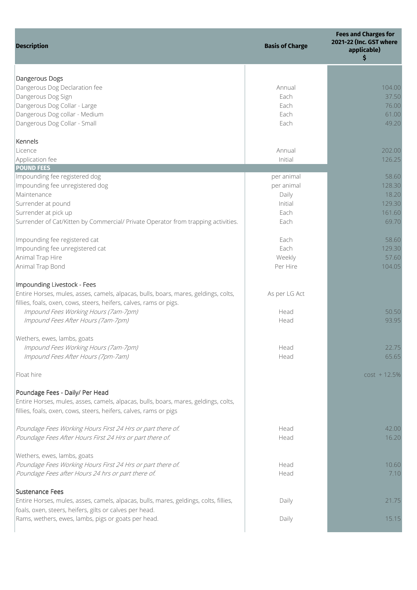| <b>Description</b>                                                                    | <b>Basis of Charge</b> | <b>Fees and Charges for</b><br>2021-22 (Inc. GST where<br>applicable)<br>\$ |
|---------------------------------------------------------------------------------------|------------------------|-----------------------------------------------------------------------------|
| Dangerous Dogs                                                                        |                        |                                                                             |
| Dangerous Dog Declaration fee                                                         | Annual                 | 104.00                                                                      |
| Dangerous Dog Sign                                                                    | Each                   | 37.50                                                                       |
|                                                                                       | Each                   |                                                                             |
| Dangerous Dog Collar - Large                                                          |                        | 76.00                                                                       |
| Dangerous Dog collar - Medium<br>Dangerous Dog Collar - Small                         | Each<br>Each           | 61.00<br>49.20                                                              |
| Kennels                                                                               |                        |                                                                             |
| Licence                                                                               | Annual                 | 202.00                                                                      |
| Application fee                                                                       | Initial                | 126.25                                                                      |
| <b>POUND FEES</b>                                                                     |                        |                                                                             |
| Impounding fee registered dog                                                         | per animal             | 58.60                                                                       |
| Impounding fee unregistered dog                                                       | per animal             | 128.30                                                                      |
| Maintenance                                                                           | Daily                  | 18.20                                                                       |
| Surrender at pound                                                                    | Initial                | 129.30                                                                      |
| Surrender at pick up                                                                  | Each                   | 161.60                                                                      |
| Surrender of Cat/Kitten by Commercial/ Private Operator from trapping activities.     | Each                   | 69.70                                                                       |
|                                                                                       |                        |                                                                             |
| Impounding fee registered cat                                                         | Each                   | 58.60                                                                       |
| Impounding fee unregistered cat                                                       | Each                   | 129.30                                                                      |
| Animal Trap Hire                                                                      | Weekly                 | 57.60                                                                       |
|                                                                                       |                        |                                                                             |
| Animal Trap Bond                                                                      | Per Hire               | 104.05                                                                      |
| Impounding Livestock - Fees                                                           |                        |                                                                             |
| Entire Horses, mules, asses, camels, alpacas, bulls, boars, mares, geldings, colts,   | As per LG Act          |                                                                             |
| fillies, foals, oxen, cows, steers, heifers, calves, rams or pigs.                    |                        |                                                                             |
| Impound Fees Working Hours (7am-7pm)                                                  | Head                   | 50.50                                                                       |
| Impound Fees After Hours (7am-7pm)                                                    | Head                   | 93.95                                                                       |
| Wethers, ewes, lambs, goats                                                           |                        |                                                                             |
| Impound Fees Working Hours (7am-7pm)                                                  | Head                   | 22.75                                                                       |
| Impound Fees After Hours (7pm-7am)                                                    | Head                   | 65.65                                                                       |
| Float hire                                                                            |                        | $cost + 12.5%$                                                              |
| Poundage Fees - Daily/ Per Head                                                       |                        |                                                                             |
| Entire Horses, mules, asses, camels, alpacas, bulls, boars, mares, geldings, colts,   |                        |                                                                             |
| fillies, foals, oxen, cows, steers, heifers, calves, rams or pigs                     |                        |                                                                             |
| Poundage Fees Working Hours First 24 Hrs or part there of.                            | Head                   | 42.00                                                                       |
| Poundage Fees After Hours First 24 Hrs or part there of.                              | Head                   | 16.20                                                                       |
| Wethers, ewes, lambs, goats                                                           |                        |                                                                             |
| Poundage Fees Working Hours First 24 Hrs or part there of.                            | Head                   | 10.60                                                                       |
| Poundage Fees after Hours 24 hrs or part there of.                                    | Head                   | 7.10                                                                        |
| Sustenance Fees                                                                       |                        |                                                                             |
| Entire Horses, mules, asses, camels, alpacas, bulls, mares, geldings, colts, fillies, | Daily                  | 21.75                                                                       |
| foals, oxen, steers, heifers, gilts or calves per head.                               |                        |                                                                             |
| Rams, wethers, ewes, lambs, pigs or goats per head.                                   | Daily                  | 15.15                                                                       |
|                                                                                       |                        |                                                                             |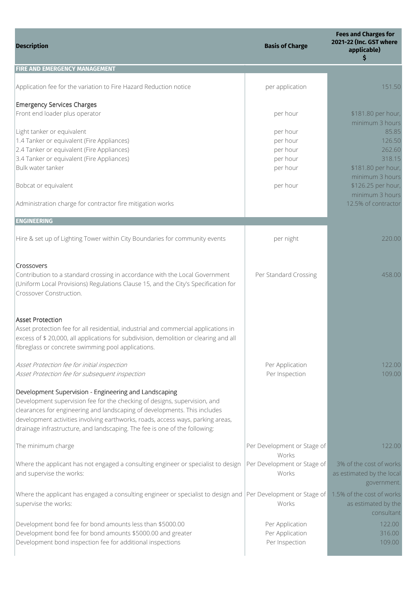| <b>Description</b>                                                                                                                                                                                                                                                                                                                                                               | <b>Basis of Charge</b>                                   | <b>Fees and Charges for</b><br>2021-22 (Inc. GST where<br>applicable)<br>\$  |
|----------------------------------------------------------------------------------------------------------------------------------------------------------------------------------------------------------------------------------------------------------------------------------------------------------------------------------------------------------------------------------|----------------------------------------------------------|------------------------------------------------------------------------------|
| <b>FIRE AND EMERGENCY MANAGEMENT</b>                                                                                                                                                                                                                                                                                                                                             |                                                          |                                                                              |
| Application fee for the variation to Fire Hazard Reduction notice                                                                                                                                                                                                                                                                                                                | per application                                          | 151.50                                                                       |
| <b>Emergency Services Charges</b><br>Front end loader plus operator                                                                                                                                                                                                                                                                                                              | per hour                                                 | \$181.80 per hour,<br>minimum 3 hours                                        |
| Light tanker or equivalent<br>1.4 Tanker or equivalent (Fire Appliances)<br>2.4 Tanker or equivalent (Fire Appliances)<br>3.4 Tanker or equivalent (Fire Appliances)<br>Bulk water tanker                                                                                                                                                                                        | per hour<br>per hour<br>per hour<br>per hour<br>per hour | 85.85<br>126.50<br>262.60<br>318.15<br>\$181.80 per hour,<br>minimum 3 hours |
| Bobcat or equivalent                                                                                                                                                                                                                                                                                                                                                             | per hour                                                 | \$126.25 per hour,<br>minimum 3 hours                                        |
| Administration charge for contractor fire mitigation works                                                                                                                                                                                                                                                                                                                       |                                                          | 12.5% of contractor                                                          |
| <b>ENGINEERING</b>                                                                                                                                                                                                                                                                                                                                                               |                                                          |                                                                              |
| Hire & set up of Lighting Tower within City Boundaries for community events                                                                                                                                                                                                                                                                                                      | per night                                                | 220.00                                                                       |
| Crossovers<br>Contribution to a standard crossing in accordance with the Local Government<br>(Uniform Local Provisions) Regulations Clause 15, and the City's Specification for<br>Crossover Construction.                                                                                                                                                                       | Per Standard Crossing                                    | 458.00                                                                       |
| <b>Asset Protection</b><br>Asset protection fee for all residential, industrial and commercial applications in<br>excess of \$ 20,000, all applications for subdivision, demolition or clearing and all<br>fibreglass or concrete swimming pool applications.                                                                                                                    |                                                          |                                                                              |
| Asset Protection fee for initial inspection<br>Asset Protection fee for subsequent inspection                                                                                                                                                                                                                                                                                    | Per Application<br>Per Inspection                        | 122.00<br>109.00                                                             |
| Development Supervision - Engineering and Landscaping<br>Development supervision fee for the checking of designs, supervision, and<br>clearances for engineering and landscaping of developments. This includes<br>development activities involving earthworks, roads, access ways, parking areas,<br>drainage infrastructure, and landscaping. The fee is one of the following: |                                                          |                                                                              |
| The minimum charge                                                                                                                                                                                                                                                                                                                                                               | Per Development or Stage of<br>Works                     | 122.00                                                                       |
| Where the applicant has not engaged a consulting engineer or specialist to design<br>and supervise the works:                                                                                                                                                                                                                                                                    | Per Development or Stage of<br>Works                     | 3% of the cost of works<br>as estimated by the local<br>government.          |
| Where the applicant has engaged a consulting engineer or specialist to design and   Per Development or Stage of<br>supervise the works:                                                                                                                                                                                                                                          | Works                                                    | 1.5% of the cost of works<br>as estimated by the<br>consultant               |
| Development bond fee for bond amounts less than \$5000.00<br>Development bond fee for bond amounts \$5000.00 and greater<br>Development bond inspection fee for additional inspections                                                                                                                                                                                           | Per Application<br>Per Application<br>Per Inspection     | 122.00<br>316.00<br>109.00                                                   |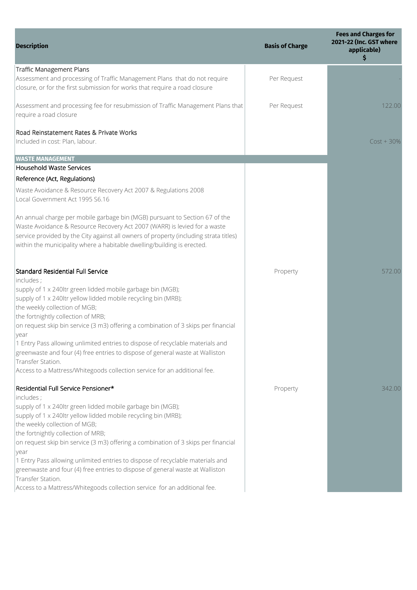| <b>Description</b>                                                                                                                                                                                                                                                                                                           | <b>Basis of Charge</b> | <b>Fees and Charges for</b><br>2021-22 (Inc. GST where<br>applicable)<br>\$ |
|------------------------------------------------------------------------------------------------------------------------------------------------------------------------------------------------------------------------------------------------------------------------------------------------------------------------------|------------------------|-----------------------------------------------------------------------------|
| <b>Traffic Management Plans</b><br>Assessment and processing of Traffic Management Plans that do not require<br>closure, or for the first submission for works that require a road closure                                                                                                                                   | Per Request            |                                                                             |
| Assessment and processing fee for resubmission of Traffic Management Plans that<br>require a road closure                                                                                                                                                                                                                    | Per Request            | 122.00                                                                      |
| Road Reinstatement Rates & Private Works<br>Included in cost: Plan, labour.                                                                                                                                                                                                                                                  |                        | $Cost + 30\%$                                                               |
| <b>WASTE MANAGEMENT</b>                                                                                                                                                                                                                                                                                                      |                        |                                                                             |
| Household Waste Services                                                                                                                                                                                                                                                                                                     |                        |                                                                             |
| Reference (Act, Regulations)                                                                                                                                                                                                                                                                                                 |                        |                                                                             |
| Waste Avoidance & Resource Recovery Act 2007 & Regulations 2008<br>Local Government Act 1995 S6.16                                                                                                                                                                                                                           |                        |                                                                             |
| An annual charge per mobile garbage bin (MGB) pursuant to Section 67 of the<br>Waste Avoidance & Resource Recovery Act 2007 (WARR) is levied for a waste<br>service provided by the City against all owners of property (including strata titles)<br>within the municipality where a habitable dwelling/building is erected. |                        |                                                                             |
| Standard Residential Full Service<br>includes;                                                                                                                                                                                                                                                                               | Property               | 572.00                                                                      |
| supply of 1 x 240ltr green lidded mobile garbage bin (MGB);<br>supply of 1 x 240ltr yellow lidded mobile recycling bin (MRB);<br>the weekly collection of MGB;<br>the fortnightly collection of MRB;                                                                                                                         |                        |                                                                             |
| on request skip bin service (3 m3) offering a combination of 3 skips per financial<br>year                                                                                                                                                                                                                                   |                        |                                                                             |
| 1 Entry Pass allowing unlimited entries to dispose of recyclable materials and<br>greenwaste and four (4) free entries to dispose of general waste at Walliston<br>Transfer Station.                                                                                                                                         |                        |                                                                             |
| Access to a Mattress/Whitegoods collection service for an additional fee.                                                                                                                                                                                                                                                    |                        |                                                                             |
| Residential Full Service Pensioner*<br>includes;                                                                                                                                                                                                                                                                             | Property               | 342.00                                                                      |
| supply of 1 x 240ltr green lidded mobile garbage bin (MGB);<br>supply of 1 x 240ltr yellow lidded mobile recycling bin (MRB);<br>the weekly collection of MGB;                                                                                                                                                               |                        |                                                                             |
| the fortnightly collection of MRB;<br>on request skip bin service (3 m3) offering a combination of 3 skips per financial<br><b>year</b>                                                                                                                                                                                      |                        |                                                                             |
| 1 Entry Pass allowing unlimited entries to dispose of recyclable materials and<br>greenwaste and four (4) free entries to dispose of general waste at Walliston<br>Transfer Station.<br>Access to a Mattress/Whitegoods collection service for an additional fee.                                                            |                        |                                                                             |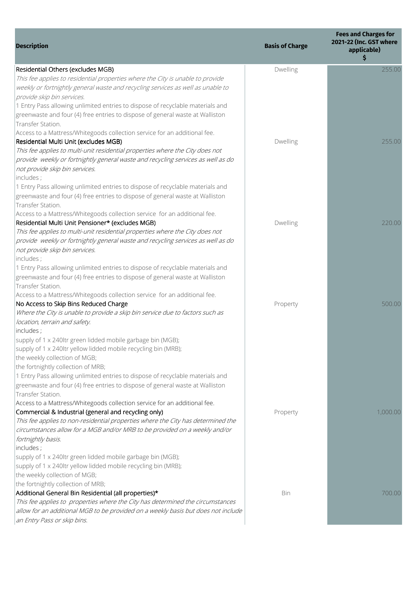| <b>Description</b>                                                                                                                     | <b>Basis of Charge</b> | <b>Fees and Charges for</b><br>2021-22 (Inc. GST where<br>applicable)<br>\$ |
|----------------------------------------------------------------------------------------------------------------------------------------|------------------------|-----------------------------------------------------------------------------|
| Residential Others (excludes MGB)                                                                                                      | Dwelling               | 255.00                                                                      |
| This fee applies to residential properties where the City is unable to provide                                                         |                        |                                                                             |
| weekly or fortnightly general waste and recycling services as well as unable to                                                        |                        |                                                                             |
| provide skip bin services.                                                                                                             |                        |                                                                             |
| 1 Entry Pass allowing unlimited entries to dispose of recyclable materials and                                                         |                        |                                                                             |
| greenwaste and four (4) free entries to dispose of general waste at Walliston                                                          |                        |                                                                             |
| Transfer Station.                                                                                                                      |                        |                                                                             |
| Access to a Mattress/Whitegoods collection service for an additional fee.                                                              |                        |                                                                             |
| Residential Multi Unit (excludes MGB)                                                                                                  | Dwelling               | 255.00                                                                      |
| This fee applies to multi-unit residential properties where the City does not                                                          |                        |                                                                             |
| provide weekly or fortnightly general waste and recycling services as well as do                                                       |                        |                                                                             |
| not provide skip bin services.                                                                                                         |                        |                                                                             |
| includes;                                                                                                                              |                        |                                                                             |
| 1 Entry Pass allowing unlimited entries to dispose of recyclable materials and                                                         |                        |                                                                             |
| greenwaste and four (4) free entries to dispose of general waste at Walliston                                                          |                        |                                                                             |
| Transfer Station.                                                                                                                      |                        |                                                                             |
| Access to a Mattress/Whitegoods collection service for an additional fee.                                                              |                        |                                                                             |
| Residential Multi Unit Pensioner* (excludes MGB)                                                                                       | Dwelling               | 220.00                                                                      |
| This fee applies to multi-unit residential properties where the City does not                                                          |                        |                                                                             |
| provide weekly or fortnightly general waste and recycling services as well as do                                                       |                        |                                                                             |
| not provide skip bin services.<br>includes;                                                                                            |                        |                                                                             |
| 1 Entry Pass allowing unlimited entries to dispose of recyclable materials and                                                         |                        |                                                                             |
| greenwaste and four (4) free entries to dispose of general waste at Walliston                                                          |                        |                                                                             |
| Transfer Station.                                                                                                                      |                        |                                                                             |
| Access to a Mattress/Whitegoods collection service for an additional fee.                                                              |                        |                                                                             |
| No Access to Skip Bins Reduced Charge                                                                                                  | Property               | 500.00                                                                      |
| Where the City is unable to provide a skip bin service due to factors such as                                                          |                        |                                                                             |
| location, terrain and safety.                                                                                                          |                        |                                                                             |
| includes;                                                                                                                              |                        |                                                                             |
| supply of 1 x 240ltr green lidded mobile garbage bin (MGB);                                                                            |                        |                                                                             |
| supply of 1 x 240ltr yellow lidded mobile recycling bin (MRB);                                                                         |                        |                                                                             |
| the weekly collection of MGB;                                                                                                          |                        |                                                                             |
| the fortnightly collection of MRB;                                                                                                     |                        |                                                                             |
| 1 Entry Pass allowing unlimited entries to dispose of recyclable materials and                                                         |                        |                                                                             |
| greenwaste and four (4) free entries to dispose of general waste at Walliston                                                          |                        |                                                                             |
| Transfer Station.                                                                                                                      |                        |                                                                             |
| Access to a Mattress/Whitegoods collection service for an additional fee.                                                              |                        |                                                                             |
| Commercial & Industrial (general and recycling only)                                                                                   | Property               | 1,000.00                                                                    |
| This fee applies to non-residential properties where the City has determined the                                                       |                        |                                                                             |
| circumstances allow for a MGB and/or MRB to be provided on a weekly and/or                                                             |                        |                                                                             |
| fortnightly basis.                                                                                                                     |                        |                                                                             |
| includes;                                                                                                                              |                        |                                                                             |
| supply of 1 x 240ltr green lidded mobile garbage bin (MGB);                                                                            |                        |                                                                             |
| supply of 1 x 240ltr yellow lidded mobile recycling bin (MRB);                                                                         |                        |                                                                             |
| the weekly collection of MGB;                                                                                                          |                        |                                                                             |
| the fortnightly collection of MRB;                                                                                                     |                        |                                                                             |
| Additional General Bin Residential (all properties)*<br>This fee applies to properties where the City has determined the circumstances | Bin                    | 700.00                                                                      |
| allow for an additional MGB to be provided on a weekly basis but does not include                                                      |                        |                                                                             |
| an Entry Pass or skip bins.                                                                                                            |                        |                                                                             |
|                                                                                                                                        |                        |                                                                             |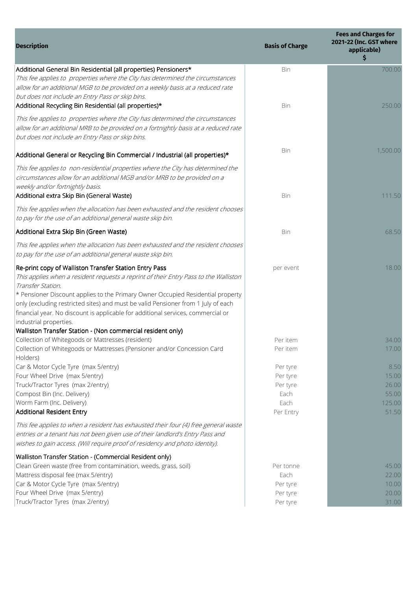| <b>Description</b>                                                                                                                                                                                                                                                                                                                                                                                                                                        | <b>Basis of Charge</b>                                        | <b>Fees and Charges for</b><br>2021-22 (Inc. GST where<br>applicable)<br>\$ |
|-----------------------------------------------------------------------------------------------------------------------------------------------------------------------------------------------------------------------------------------------------------------------------------------------------------------------------------------------------------------------------------------------------------------------------------------------------------|---------------------------------------------------------------|-----------------------------------------------------------------------------|
| Additional General Bin Residential (all properties) Pensioners*<br>This fee applies to properties where the City has determined the circumstances<br>allow for an additional MGB to be provided on a weekly basis at a reduced rate<br>but does not include an Entry Pass or skip bins.                                                                                                                                                                   | Bin                                                           | 700.00                                                                      |
| Additional Recycling Bin Residential (all properties)*                                                                                                                                                                                                                                                                                                                                                                                                    | Bin                                                           | 250.00                                                                      |
| This fee applies to properties where the City has determined the circumstances<br>allow for an additional MRB to be provided on a fortnightly basis at a reduced rate<br>but does not include an Entry Pass or skip bins.                                                                                                                                                                                                                                 |                                                               |                                                                             |
| Additional General or Recycling Bin Commercial / Industrial (all properties)*                                                                                                                                                                                                                                                                                                                                                                             | Bin                                                           | 1,500.00                                                                    |
| This fee applies to non-residential properties where the City has determined the<br>circumstances allow for an additional MGB and/or MRB to be provided on a<br>weekly and/or fortnightly basis.                                                                                                                                                                                                                                                          |                                                               |                                                                             |
| Additional extra Skip Bin (General Waste)                                                                                                                                                                                                                                                                                                                                                                                                                 | Bin                                                           | 111.50                                                                      |
| This fee applies when the allocation has been exhausted and the resident chooses<br>to pay for the use of an additional general waste skip bin.                                                                                                                                                                                                                                                                                                           |                                                               |                                                                             |
| Additional Extra Skip Bin (Green Waste)                                                                                                                                                                                                                                                                                                                                                                                                                   | Bin                                                           | 68.50                                                                       |
| This fee applies when the allocation has been exhausted and the resident chooses<br>to pay for the use of an additional general waste skip bin.                                                                                                                                                                                                                                                                                                           |                                                               |                                                                             |
| Re-print copy of Walliston Transfer Station Entry Pass<br>This applies when a resident requests a reprint of their Entry Pass to the Walliston<br>Transfer Station.<br>* Pensioner Discount applies to the Primary Owner Occupied Residential property<br>only (excluding restricted sites) and must be valid Pensioner from 1 July of each<br>financial year. No discount is applicable for additional services, commercial or<br>industrial properties. | per event                                                     | 18.00                                                                       |
| Walliston Transfer Station - (Non commercial resident only)<br>Collection of Whitegoods or Mattresses (resident)                                                                                                                                                                                                                                                                                                                                          | Per item                                                      | 34.00                                                                       |
| Collection of Whitegoods or Mattresses (Pensioner and/or Concession Card<br>Holders)                                                                                                                                                                                                                                                                                                                                                                      | Per item                                                      | 17.00                                                                       |
| Car & Motor Cycle Tyre (max 5/entry)<br>Four Wheel Drive (max 5/entry)<br>Truck/Tractor Tyres (max 2/entry)<br>Compost Bin (Inc. Delivery)<br>Worm Farm (Inc. Delivery)<br><b>Additional Resident Entry</b>                                                                                                                                                                                                                                               | Per tyre<br>Per tyre<br>Per tyre<br>Each<br>Each<br>Per Entry | 8.50<br>15.00<br>26.00<br>55.00<br>125.00<br>51.50                          |
| This fee applies to when a resident has exhausted their four (4) free general waste<br>entries or a tenant has not been given use of their landlord's Entry Pass and<br>wishes to gain access. (Will require proof of residency and photo identity).                                                                                                                                                                                                      |                                                               |                                                                             |
| Walliston Transfer Station - (Commercial Resident only)<br>Clean Green waste (free from contamination, weeds, grass, soil)<br>Mattress disposal fee (max 5/entry)<br>Car & Motor Cycle Tyre (max 5/entry)<br>Four Wheel Drive (max 5/entry)<br>Truck/Tractor Tyres (max 2/entry)                                                                                                                                                                          | Per tonne<br>Each<br>Per tyre<br>Per tyre<br>Per tyre         | 45.00<br>22.00<br>10.00<br>20.00<br>31.00                                   |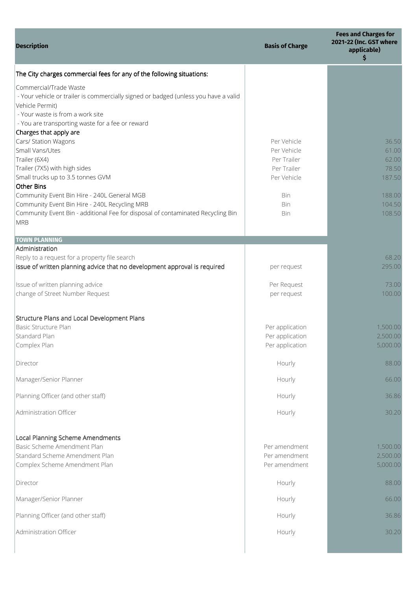| <b>Description</b>                                                                                                                                                                                                       | <b>Basis of Charge</b>     | <b>Fees and Charges for</b><br>2021-22 (Inc. GST where<br>applicable)<br>\$ |
|--------------------------------------------------------------------------------------------------------------------------------------------------------------------------------------------------------------------------|----------------------------|-----------------------------------------------------------------------------|
| The City charges commercial fees for any of the following situations:                                                                                                                                                    |                            |                                                                             |
| Commercial/Trade Waste<br>- Your vehicle or trailer is commercially signed or badged (unless you have a valid<br>Vehicle Permit)<br>- Your waste is from a work site<br>- You are transporting waste for a fee or reward |                            |                                                                             |
| Charges that apply are                                                                                                                                                                                                   |                            |                                                                             |
| Cars/ Station Wagons                                                                                                                                                                                                     | Per Vehicle                | 36.50                                                                       |
| Small Vans/Utes                                                                                                                                                                                                          | Per Vehicle                | 61.00                                                                       |
| Trailer (6X4)<br>Trailer (7X5) with high sides                                                                                                                                                                           | Per Trailer<br>Per Trailer | 62.00<br>78.50                                                              |
| Small trucks up to 3.5 tonnes GVM                                                                                                                                                                                        | Per Vehicle                | 187.50                                                                      |
| <b>Other Bins</b>                                                                                                                                                                                                        |                            |                                                                             |
| Community Event Bin Hire - 240L General MGB                                                                                                                                                                              | Bin                        | 188.00                                                                      |
| Community Event Bin Hire - 240L Recycling MRB                                                                                                                                                                            | Bin                        | 104.50                                                                      |
| Community Event Bin - additional Fee for disposal of contaminated Recycling Bin<br><b>MRB</b>                                                                                                                            | Bin                        | 108.50                                                                      |
| <b>TOWN PLANNING</b>                                                                                                                                                                                                     |                            |                                                                             |
| Administration                                                                                                                                                                                                           |                            |                                                                             |
| Reply to a request for a property file search                                                                                                                                                                            |                            | 68.20                                                                       |
| issue of written planning advice that no development approval is required                                                                                                                                                | per request                | 295.00                                                                      |
| Issue of written planning advice                                                                                                                                                                                         | Per Request                | 73.00                                                                       |
| change of Street Number Request                                                                                                                                                                                          | per request                | 100.00                                                                      |
| Structure Plans and Local Development Plans                                                                                                                                                                              |                            |                                                                             |
| Basic Structure Plan                                                                                                                                                                                                     | Per application            | 1,500.00                                                                    |
| Standard Plan                                                                                                                                                                                                            | Per application            | 2,500.00                                                                    |
| Complex Plan                                                                                                                                                                                                             | Per application            | 5,000.00                                                                    |
| Director                                                                                                                                                                                                                 | Hourly                     | 88.00                                                                       |
| Manager/Senior Planner                                                                                                                                                                                                   | Hourly                     | 66.00                                                                       |
| Planning Officer (and other staff)                                                                                                                                                                                       | Hourly                     | 36.86                                                                       |
| Administration Officer                                                                                                                                                                                                   | Hourly                     | 30.20                                                                       |
| Local Planning Scheme Amendments                                                                                                                                                                                         |                            |                                                                             |
| Basic Scheme Amendment Plan                                                                                                                                                                                              | Per amendment              | 1,500.00                                                                    |
| Standard Scheme Amendment Plan                                                                                                                                                                                           | Per amendment              | 2,500.00                                                                    |
| Complex Scheme Amendment Plan                                                                                                                                                                                            | Per amendment              | 5,000.00                                                                    |
| Director                                                                                                                                                                                                                 | Hourly                     | 88.00                                                                       |
| Manager/Senior Planner                                                                                                                                                                                                   | Hourly                     | 66.00                                                                       |
| Planning Officer (and other staff)                                                                                                                                                                                       | Hourly                     | 36.86                                                                       |
| Administration Officer                                                                                                                                                                                                   | Hourly                     | 30.20                                                                       |
|                                                                                                                                                                                                                          |                            |                                                                             |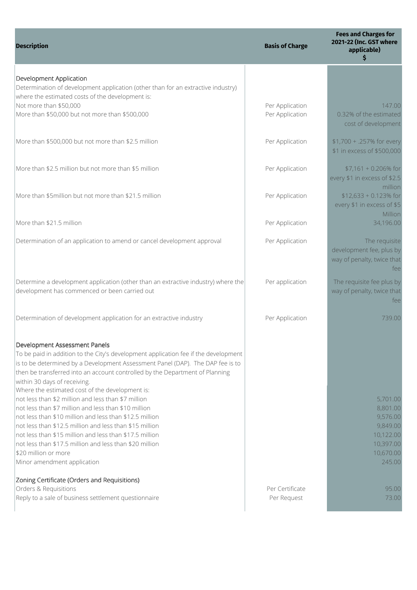| <b>Description</b>                                                                                                                                                                                                                                                                                                                                                                                                                                                                       | <b>Basis of Charge</b>             | <b>Fees and Charges for</b><br>2021-22 (Inc. GST where<br>applicable)<br>\$    |
|------------------------------------------------------------------------------------------------------------------------------------------------------------------------------------------------------------------------------------------------------------------------------------------------------------------------------------------------------------------------------------------------------------------------------------------------------------------------------------------|------------------------------------|--------------------------------------------------------------------------------|
| Development Application<br>Determination of development application (other than for an extractive industry)<br>where the estimated costs of the development is:                                                                                                                                                                                                                                                                                                                          |                                    |                                                                                |
| Not more than \$50,000<br>More than \$50,000 but not more than \$500,000                                                                                                                                                                                                                                                                                                                                                                                                                 | Per Application<br>Per Application | 147.00<br>0.32% of the estimated<br>cost of development                        |
| More than \$500,000 but not more than \$2.5 million                                                                                                                                                                                                                                                                                                                                                                                                                                      | Per Application                    | \$1,700 + .257% for every<br>\$1 in excess of \$500,000                        |
| More than \$2.5 million but not more than \$5 million                                                                                                                                                                                                                                                                                                                                                                                                                                    | Per Application                    | $$7,161 + 0.206\%$ for<br>every \$1 in excess of \$2.5<br>million              |
| More than \$5million but not more than \$21.5 million                                                                                                                                                                                                                                                                                                                                                                                                                                    | Per Application                    | $$12,633 + 0.123\%$ for<br>every \$1 in excess of \$5<br>Million               |
| More than \$21.5 million                                                                                                                                                                                                                                                                                                                                                                                                                                                                 | Per Application                    | 34,196.00                                                                      |
| Determination of an application to amend or cancel development approval                                                                                                                                                                                                                                                                                                                                                                                                                  | Per Application                    | The requisite<br>development fee, plus by<br>way of penalty, twice that<br>fee |
| Determine a development application (other than an extractive industry) where the<br>development has commenced or been carried out                                                                                                                                                                                                                                                                                                                                                       | Per application                    | The requisite fee plus by<br>way of penalty, twice that<br>fee                 |
| Determination of development application for an extractive industry                                                                                                                                                                                                                                                                                                                                                                                                                      | Per Application                    | 739.00                                                                         |
| Development Assessment Panels<br>To be paid in addition to the City's development application fee if the development<br>is to be determined by a Development Assessment Panel (DAP). The DAP fee is to<br>then be transferred into an account controlled by the Department of Planning<br>within 30 days of receiving.<br>Where the estimated cost of the development is:<br>not less than \$2 million and less than \$7 million<br>not less than \$7 million and less than \$10 million |                                    | 5,701.00<br>8,801.00                                                           |
| not less than \$10 million and less than \$12.5 million<br>not less than \$12.5 million and less than \$15 million<br>not less than \$15 million and less than \$17.5 million<br>not less than \$17.5 million and less than \$20 million<br>\$20 million or more<br>Minor amendment application                                                                                                                                                                                          |                                    | 9,576.00<br>9,849.00<br>10,122.00<br>10,397.00<br>10,670.00<br>245.00          |
| Zoning Certificate (Orders and Requisitions)<br>Orders & Requisitions<br>Reply to a sale of business settlement questionnaire                                                                                                                                                                                                                                                                                                                                                            | Per Certificate<br>Per Request     | 95.00<br>73.00                                                                 |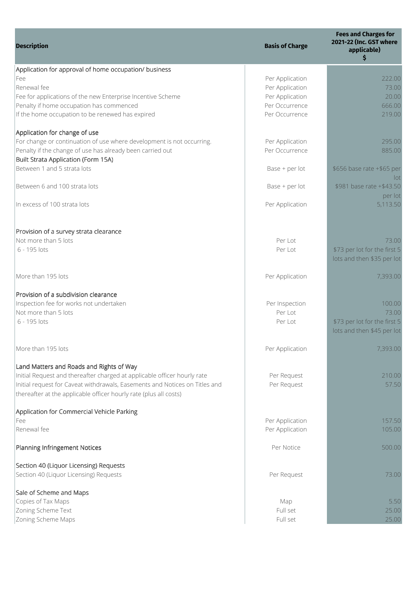| <b>Description</b>                                                          | <b>Basis of Charge</b> | <b>Fees and Charges for</b><br>2021-22 (Inc. GST where<br>applicable)<br>\$ |
|-----------------------------------------------------------------------------|------------------------|-----------------------------------------------------------------------------|
| Application for approval of home occupation/ business                       |                        |                                                                             |
| Fee                                                                         | Per Application        | 222.00                                                                      |
| Renewal fee                                                                 | Per Application        | 73.00                                                                       |
| Fee for applications of the new Enterprise Incentive Scheme                 | Per Application        | 20.00                                                                       |
| Penalty if home occupation has commenced                                    | Per Occurrence         | 666.00                                                                      |
| If the home occupation to be renewed has expired                            | Per Occurrence         | 219.00                                                                      |
| Application for change of use                                               |                        |                                                                             |
| For change or continuation of use where development is not occurring.       | Per Application        | 295.00                                                                      |
| Penalty if the change of use has already been carried out                   | Per Occurrence         | 885.00                                                                      |
| <b>Built Strata Application (Form 15A)</b>                                  |                        |                                                                             |
| Between 1 and 5 strata lots                                                 | Base + per lot         | \$656 base rate +\$65 per                                                   |
| Between 6 and 100 strata lots                                               | Base + per lot         | Int<br>\$981 base rate +\$43.50                                             |
|                                                                             |                        | per lot                                                                     |
| In excess of 100 strata lots                                                | Per Application        | 5,113.50                                                                    |
| Provision of a survey strata clearance                                      |                        |                                                                             |
| Not more than 5 lots                                                        | Per Lot                | 73.00                                                                       |
| 6 - 195 lots                                                                | Per Lot                | \$73 per lot for the first 5                                                |
|                                                                             |                        | lots and then \$35 per lot                                                  |
| More than 195 lots                                                          | Per Application        | 7,393.00                                                                    |
| Provision of a subdivision clearance                                        |                        |                                                                             |
| Inspection fee for works not undertaken                                     | Per Inspection         | 100.00                                                                      |
| Not more than 5 lots                                                        | Per Lot                | 73.00                                                                       |
| 6 - 195 lots                                                                | Per Lot                | \$73 per lot for the first 5                                                |
|                                                                             |                        | lots and then \$45 per lot                                                  |
| More than 195 lots                                                          | Per Application        | 7,393.00                                                                    |
| Land Matters and Roads and Rights of Way                                    |                        |                                                                             |
| Initial Request and thereafter charged at applicable officer hourly rate    | Per Request            | 210.00                                                                      |
| Initial request for Caveat withdrawals, Easements and Notices on Titles and | Per Request            | 57.50                                                                       |
| thereafter at the applicable officer hourly rate (plus all costs)           |                        |                                                                             |
| Application for Commercial Vehicle Parking                                  |                        |                                                                             |
| Fee                                                                         | Per Application        | 157.50                                                                      |
| Renewal fee                                                                 | Per Application        | 105.00                                                                      |
| Planning Infringement Notices                                               | Per Notice             | 500.00                                                                      |
| Section 40 (Liquor Licensing) Requests                                      |                        |                                                                             |
| Section 40 (Liquor Licensing) Requests                                      | Per Request            | 73.00                                                                       |
| Sale of Scheme and Maps                                                     |                        |                                                                             |
| Copies of Tax Maps                                                          | Map                    | 5.50                                                                        |
| Zoning Scheme Text                                                          | Full set               | 25.00                                                                       |
| Zoning Scheme Maps                                                          | Full set               | 25.00                                                                       |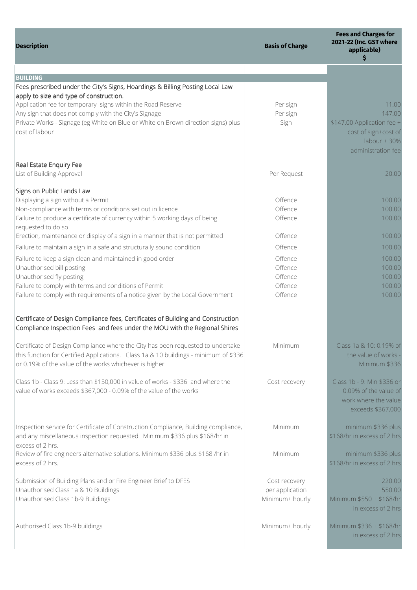| <b>Description</b>                                                                                                                                                                                                                                           | <b>Basis of Charge</b>                              | <b>Fees and Charges for</b><br>2021-22 (Inc. GST where<br>applicable)<br>\$                                   |
|--------------------------------------------------------------------------------------------------------------------------------------------------------------------------------------------------------------------------------------------------------------|-----------------------------------------------------|---------------------------------------------------------------------------------------------------------------|
|                                                                                                                                                                                                                                                              |                                                     |                                                                                                               |
| <b>BUILDING</b><br>Fees prescribed under the City's Signs, Hoardings & Billing Posting Local Law<br>apply to size and type of construction.                                                                                                                  |                                                     |                                                                                                               |
| Application fee for temporary signs within the Road Reserve<br>Any sign that does not comply with the City's Signage<br>Private Works - Signage (eg White on Blue or White on Brown direction signs) plus<br>cost of labour                                  | Per sign<br>Per sign<br>Sign                        | 11.00<br>147.00<br>\$147.00 Application fee +<br>cost of sign+cost of<br>$labour + 30%$<br>administration fee |
| Real Estate Enquiry Fee<br>List of Building Approval                                                                                                                                                                                                         | Per Request                                         | 20.00                                                                                                         |
| Signs on Public Lands Law<br>Displaying a sign without a Permit<br>Non-compliance with terms or conditions set out in licence<br>Failure to produce a certificate of currency within 5 working days of being<br>requested to do so                           | Offence<br>Offence<br>Offence                       | 100.00<br>100.00<br>100.00                                                                                    |
| Erection, maintenance or display of a sign in a manner that is not permitted<br>Failure to maintain a sign in a safe and structurally sound condition                                                                                                        | Offence<br>Offence                                  | 100.00<br>100.00                                                                                              |
| Failure to keep a sign clean and maintained in good order<br>Unauthorised bill posting<br>Unauthorised fly posting<br>Failure to comply with terms and conditions of Permit<br>Failure to comply with requirements of a notice given by the Local Government | Offence<br>Offence<br>Offence<br>Offence<br>Offence | 100.00<br>100.00<br>100.00<br>100.00<br>100.00                                                                |
| Certificate of Design Compliance fees, Certificates of Building and Construction<br>Compliance Inspection Fees and fees under the MOU with the Regional Shires                                                                                               |                                                     |                                                                                                               |
| Certificate of Design Compliance where the City has been requested to undertake<br>this function for Certified Applications. Class 1a & 10 buildings - minimum of \$336<br>or 0.19% of the value of the works whichever is higher                            | Minimum                                             | Class 1a & 10: 0.19% of<br>the value of works -<br>Minimum \$336                                              |
| Class 1b - Class 9: Less than \$150,000 in value of works - \$336 and where the<br>value of works exceeds \$367,000 - 0.09% of the value of the works                                                                                                        | Cost recovery                                       | Class 1b - 9: Min \$336 or<br>0.09% of the value of<br>work where the value<br>exceeds \$367,000              |
| Inspection service for Certificate of Construction Compliance, Building compliance,<br>and any miscellaneous inspection requested. Minimum \$336 plus \$168/hr in<br>excess of 2 hrs.                                                                        | Minimum                                             | minimum \$336 plus<br>\$168/hr in excess of 2 hrs                                                             |
| Review of fire engineers alternative solutions. Minimum \$336 plus \$168 /hr in<br>excess of 2 hrs.                                                                                                                                                          | Minimum                                             | minimum \$336 plus<br>\$168/hr in excess of 2 hrs                                                             |
| Submission of Building Plans and or Fire Engineer Brief to DFES<br>Unauthorised Class 1a & 10 Buildings<br>Unauthorised Class 1b-9 Buildings                                                                                                                 | Cost recovery<br>per application<br>Minimum+ hourly | 220.00<br>550.00<br>Minimum \$550 + \$168/hr<br>in excess of 2 hrs                                            |
| Authorised Class 1b-9 buildings                                                                                                                                                                                                                              | Minimum+ hourly                                     | Minimum \$336 + \$168/hr<br>in excess of 2 hrs                                                                |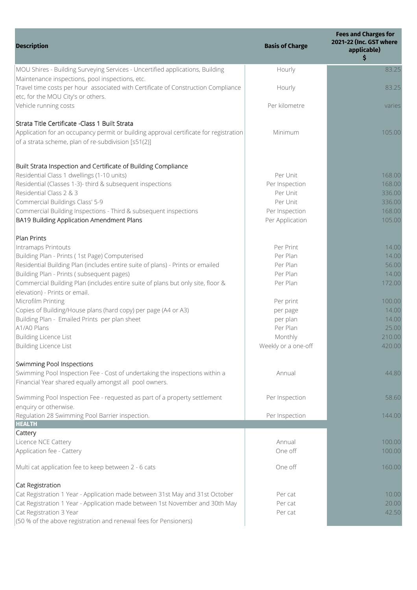| 83.25<br>Hourly<br>83.25<br>Hourly<br>etc, for the MOU City's or others.<br>Per kilometre<br>varies<br>Minimum<br>105.00<br>Residential Class 1 dwellings (1-10 units)<br>Per Unit<br>168.00<br>Residential (Classes 1-3)- third & subsequent inspections<br>168.00<br>Per Inspection<br>Residential Class 2 & 3<br>336.00<br>Per Unit<br>Per Unit<br>336.00<br>168.00<br>Per Inspection<br>105.00<br>Per Application<br>Intramaps Printouts<br>Per Print<br>14.00<br>Per Plan<br>14.00<br>Per Plan<br>56.00<br>Per Plan<br>14.00<br>Per Plan<br>172.00<br>elevation) - Prints or email.<br>100.00<br>Per print<br>Copies of Building/House plans (hard copy) per page (A4 or A3)<br>14.00<br>per page<br>Building Plan - Emailed Prints per plan sheet<br>14.00<br>per plan<br>A1/A0 Plans<br>25.00<br>Per Plan<br><b>Building Licence List</b><br>210.00<br>Monthly<br>420.00<br>Weekly or a one-off<br>Annual<br>44.80<br>Per Inspection<br>58.60<br>enquiry or otherwise.<br>Regulation 28 Swimming Pool Barrier inspection.<br>Per Inspection<br>144.00<br><b>HEALTH</b><br>Cattery<br>Licence NCE Cattery<br>Annual<br>100.00<br>Application fee - Cattery<br>One off<br>100.00<br>One off<br>160.00<br>Cat Registration<br>Cat Registration 1 Year - Application made between 31st May and 31st October<br>10.00<br>Per cat<br>Cat Registration 1 Year - Application made between 1st November and 30th May<br>20.00<br>Per cat<br>Cat Registration 3 Year<br>42.50<br>Per cat<br>(50 % of the above registration and renewal fees for Pensioners) | <b>Description</b>                                                                                                                                                                              | <b>Basis of Charge</b> | <b>Fees and Charges for</b><br>2021-22 (Inc. GST where<br>applicable)<br>\$ |
|-----------------------------------------------------------------------------------------------------------------------------------------------------------------------------------------------------------------------------------------------------------------------------------------------------------------------------------------------------------------------------------------------------------------------------------------------------------------------------------------------------------------------------------------------------------------------------------------------------------------------------------------------------------------------------------------------------------------------------------------------------------------------------------------------------------------------------------------------------------------------------------------------------------------------------------------------------------------------------------------------------------------------------------------------------------------------------------------------------------------------------------------------------------------------------------------------------------------------------------------------------------------------------------------------------------------------------------------------------------------------------------------------------------------------------------------------------------------------------------------------------------------------------------------------------------|-------------------------------------------------------------------------------------------------------------------------------------------------------------------------------------------------|------------------------|-----------------------------------------------------------------------------|
|                                                                                                                                                                                                                                                                                                                                                                                                                                                                                                                                                                                                                                                                                                                                                                                                                                                                                                                                                                                                                                                                                                                                                                                                                                                                                                                                                                                                                                                                                                                                                           | MOU Shires - Building Surveying Services - Uncertified applications, Building                                                                                                                   |                        |                                                                             |
|                                                                                                                                                                                                                                                                                                                                                                                                                                                                                                                                                                                                                                                                                                                                                                                                                                                                                                                                                                                                                                                                                                                                                                                                                                                                                                                                                                                                                                                                                                                                                           | Maintenance inspections, pool inspections, etc.<br>Travel time costs per hour associated with Certificate of Construction Compliance                                                            |                        |                                                                             |
|                                                                                                                                                                                                                                                                                                                                                                                                                                                                                                                                                                                                                                                                                                                                                                                                                                                                                                                                                                                                                                                                                                                                                                                                                                                                                                                                                                                                                                                                                                                                                           | Vehicle running costs                                                                                                                                                                           |                        |                                                                             |
|                                                                                                                                                                                                                                                                                                                                                                                                                                                                                                                                                                                                                                                                                                                                                                                                                                                                                                                                                                                                                                                                                                                                                                                                                                                                                                                                                                                                                                                                                                                                                           | Strata Title Certificate - Class 1 Built Strata<br>Application for an occupancy permit or building approval certificate for registration<br>of a strata scheme, plan of re-subdivision [s51(2)] |                        |                                                                             |
|                                                                                                                                                                                                                                                                                                                                                                                                                                                                                                                                                                                                                                                                                                                                                                                                                                                                                                                                                                                                                                                                                                                                                                                                                                                                                                                                                                                                                                                                                                                                                           | Built Strata Inspection and Certificate of Building Compliance                                                                                                                                  |                        |                                                                             |
|                                                                                                                                                                                                                                                                                                                                                                                                                                                                                                                                                                                                                                                                                                                                                                                                                                                                                                                                                                                                                                                                                                                                                                                                                                                                                                                                                                                                                                                                                                                                                           |                                                                                                                                                                                                 |                        |                                                                             |
|                                                                                                                                                                                                                                                                                                                                                                                                                                                                                                                                                                                                                                                                                                                                                                                                                                                                                                                                                                                                                                                                                                                                                                                                                                                                                                                                                                                                                                                                                                                                                           |                                                                                                                                                                                                 |                        |                                                                             |
|                                                                                                                                                                                                                                                                                                                                                                                                                                                                                                                                                                                                                                                                                                                                                                                                                                                                                                                                                                                                                                                                                                                                                                                                                                                                                                                                                                                                                                                                                                                                                           |                                                                                                                                                                                                 |                        |                                                                             |
|                                                                                                                                                                                                                                                                                                                                                                                                                                                                                                                                                                                                                                                                                                                                                                                                                                                                                                                                                                                                                                                                                                                                                                                                                                                                                                                                                                                                                                                                                                                                                           | Commercial Buildings Class' 5-9                                                                                                                                                                 |                        |                                                                             |
|                                                                                                                                                                                                                                                                                                                                                                                                                                                                                                                                                                                                                                                                                                                                                                                                                                                                                                                                                                                                                                                                                                                                                                                                                                                                                                                                                                                                                                                                                                                                                           | Commercial Building Inspections - Third & subsequent inspections                                                                                                                                |                        |                                                                             |
|                                                                                                                                                                                                                                                                                                                                                                                                                                                                                                                                                                                                                                                                                                                                                                                                                                                                                                                                                                                                                                                                                                                                                                                                                                                                                                                                                                                                                                                                                                                                                           | BA19 Building Application Amendment Plans                                                                                                                                                       |                        |                                                                             |
|                                                                                                                                                                                                                                                                                                                                                                                                                                                                                                                                                                                                                                                                                                                                                                                                                                                                                                                                                                                                                                                                                                                                                                                                                                                                                                                                                                                                                                                                                                                                                           | <b>Plan Prints</b>                                                                                                                                                                              |                        |                                                                             |
|                                                                                                                                                                                                                                                                                                                                                                                                                                                                                                                                                                                                                                                                                                                                                                                                                                                                                                                                                                                                                                                                                                                                                                                                                                                                                                                                                                                                                                                                                                                                                           |                                                                                                                                                                                                 |                        |                                                                             |
|                                                                                                                                                                                                                                                                                                                                                                                                                                                                                                                                                                                                                                                                                                                                                                                                                                                                                                                                                                                                                                                                                                                                                                                                                                                                                                                                                                                                                                                                                                                                                           | Building Plan - Prints (1st Page) Computerised                                                                                                                                                  |                        |                                                                             |
|                                                                                                                                                                                                                                                                                                                                                                                                                                                                                                                                                                                                                                                                                                                                                                                                                                                                                                                                                                                                                                                                                                                                                                                                                                                                                                                                                                                                                                                                                                                                                           | Residential Building Plan (includes entire suite of plans) - Prints or emailed                                                                                                                  |                        |                                                                             |
|                                                                                                                                                                                                                                                                                                                                                                                                                                                                                                                                                                                                                                                                                                                                                                                                                                                                                                                                                                                                                                                                                                                                                                                                                                                                                                                                                                                                                                                                                                                                                           | Building Plan - Prints (subsequent pages)                                                                                                                                                       |                        |                                                                             |
|                                                                                                                                                                                                                                                                                                                                                                                                                                                                                                                                                                                                                                                                                                                                                                                                                                                                                                                                                                                                                                                                                                                                                                                                                                                                                                                                                                                                                                                                                                                                                           | Commercial Building Plan (includes entire suite of plans but only site, floor &                                                                                                                 |                        |                                                                             |
|                                                                                                                                                                                                                                                                                                                                                                                                                                                                                                                                                                                                                                                                                                                                                                                                                                                                                                                                                                                                                                                                                                                                                                                                                                                                                                                                                                                                                                                                                                                                                           | Microfilm Printing                                                                                                                                                                              |                        |                                                                             |
|                                                                                                                                                                                                                                                                                                                                                                                                                                                                                                                                                                                                                                                                                                                                                                                                                                                                                                                                                                                                                                                                                                                                                                                                                                                                                                                                                                                                                                                                                                                                                           |                                                                                                                                                                                                 |                        |                                                                             |
|                                                                                                                                                                                                                                                                                                                                                                                                                                                                                                                                                                                                                                                                                                                                                                                                                                                                                                                                                                                                                                                                                                                                                                                                                                                                                                                                                                                                                                                                                                                                                           |                                                                                                                                                                                                 |                        |                                                                             |
|                                                                                                                                                                                                                                                                                                                                                                                                                                                                                                                                                                                                                                                                                                                                                                                                                                                                                                                                                                                                                                                                                                                                                                                                                                                                                                                                                                                                                                                                                                                                                           |                                                                                                                                                                                                 |                        |                                                                             |
|                                                                                                                                                                                                                                                                                                                                                                                                                                                                                                                                                                                                                                                                                                                                                                                                                                                                                                                                                                                                                                                                                                                                                                                                                                                                                                                                                                                                                                                                                                                                                           |                                                                                                                                                                                                 |                        |                                                                             |
|                                                                                                                                                                                                                                                                                                                                                                                                                                                                                                                                                                                                                                                                                                                                                                                                                                                                                                                                                                                                                                                                                                                                                                                                                                                                                                                                                                                                                                                                                                                                                           | <b>Building Licence List</b>                                                                                                                                                                    |                        |                                                                             |
|                                                                                                                                                                                                                                                                                                                                                                                                                                                                                                                                                                                                                                                                                                                                                                                                                                                                                                                                                                                                                                                                                                                                                                                                                                                                                                                                                                                                                                                                                                                                                           | <b>Swimming Pool Inspections</b>                                                                                                                                                                |                        |                                                                             |
|                                                                                                                                                                                                                                                                                                                                                                                                                                                                                                                                                                                                                                                                                                                                                                                                                                                                                                                                                                                                                                                                                                                                                                                                                                                                                                                                                                                                                                                                                                                                                           | Swimming Pool Inspection Fee - Cost of undertaking the inspections within a                                                                                                                     |                        |                                                                             |
|                                                                                                                                                                                                                                                                                                                                                                                                                                                                                                                                                                                                                                                                                                                                                                                                                                                                                                                                                                                                                                                                                                                                                                                                                                                                                                                                                                                                                                                                                                                                                           | Financial Year shared equally amongst all pool owners.                                                                                                                                          |                        |                                                                             |
|                                                                                                                                                                                                                                                                                                                                                                                                                                                                                                                                                                                                                                                                                                                                                                                                                                                                                                                                                                                                                                                                                                                                                                                                                                                                                                                                                                                                                                                                                                                                                           | Swimming Pool Inspection Fee - requested as part of a property settlement                                                                                                                       |                        |                                                                             |
|                                                                                                                                                                                                                                                                                                                                                                                                                                                                                                                                                                                                                                                                                                                                                                                                                                                                                                                                                                                                                                                                                                                                                                                                                                                                                                                                                                                                                                                                                                                                                           |                                                                                                                                                                                                 |                        |                                                                             |
|                                                                                                                                                                                                                                                                                                                                                                                                                                                                                                                                                                                                                                                                                                                                                                                                                                                                                                                                                                                                                                                                                                                                                                                                                                                                                                                                                                                                                                                                                                                                                           |                                                                                                                                                                                                 |                        |                                                                             |
|                                                                                                                                                                                                                                                                                                                                                                                                                                                                                                                                                                                                                                                                                                                                                                                                                                                                                                                                                                                                                                                                                                                                                                                                                                                                                                                                                                                                                                                                                                                                                           |                                                                                                                                                                                                 |                        |                                                                             |
|                                                                                                                                                                                                                                                                                                                                                                                                                                                                                                                                                                                                                                                                                                                                                                                                                                                                                                                                                                                                                                                                                                                                                                                                                                                                                                                                                                                                                                                                                                                                                           |                                                                                                                                                                                                 |                        |                                                                             |
|                                                                                                                                                                                                                                                                                                                                                                                                                                                                                                                                                                                                                                                                                                                                                                                                                                                                                                                                                                                                                                                                                                                                                                                                                                                                                                                                                                                                                                                                                                                                                           |                                                                                                                                                                                                 |                        |                                                                             |
|                                                                                                                                                                                                                                                                                                                                                                                                                                                                                                                                                                                                                                                                                                                                                                                                                                                                                                                                                                                                                                                                                                                                                                                                                                                                                                                                                                                                                                                                                                                                                           | Multi cat application fee to keep between 2 - 6 cats                                                                                                                                            |                        |                                                                             |
|                                                                                                                                                                                                                                                                                                                                                                                                                                                                                                                                                                                                                                                                                                                                                                                                                                                                                                                                                                                                                                                                                                                                                                                                                                                                                                                                                                                                                                                                                                                                                           |                                                                                                                                                                                                 |                        |                                                                             |
|                                                                                                                                                                                                                                                                                                                                                                                                                                                                                                                                                                                                                                                                                                                                                                                                                                                                                                                                                                                                                                                                                                                                                                                                                                                                                                                                                                                                                                                                                                                                                           |                                                                                                                                                                                                 |                        |                                                                             |
|                                                                                                                                                                                                                                                                                                                                                                                                                                                                                                                                                                                                                                                                                                                                                                                                                                                                                                                                                                                                                                                                                                                                                                                                                                                                                                                                                                                                                                                                                                                                                           |                                                                                                                                                                                                 |                        |                                                                             |
|                                                                                                                                                                                                                                                                                                                                                                                                                                                                                                                                                                                                                                                                                                                                                                                                                                                                                                                                                                                                                                                                                                                                                                                                                                                                                                                                                                                                                                                                                                                                                           |                                                                                                                                                                                                 |                        |                                                                             |
|                                                                                                                                                                                                                                                                                                                                                                                                                                                                                                                                                                                                                                                                                                                                                                                                                                                                                                                                                                                                                                                                                                                                                                                                                                                                                                                                                                                                                                                                                                                                                           |                                                                                                                                                                                                 |                        |                                                                             |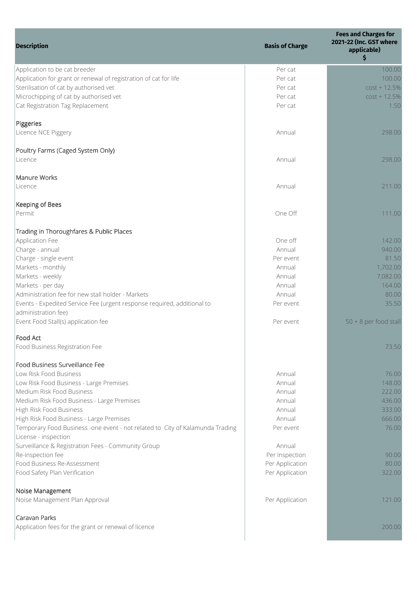| <b>Description</b>                                                            | <b>Basis of Charge</b>             | <b>Fees and Charges for</b><br>2021-22 (Inc. GST where<br>applicable)<br>\$ |
|-------------------------------------------------------------------------------|------------------------------------|-----------------------------------------------------------------------------|
| Application to be cat breeder                                                 | Per cat                            | 100.00                                                                      |
| Application for grant or renewal of registration of cat for life              | Per cat                            | 100.00                                                                      |
| Sterilisation of cat by authorised vet                                        | Per cat                            | $cost + 12.5%$                                                              |
| Microchipping of cat by authorised vet                                        | Per cat                            | $cost + 12.5%$                                                              |
| Cat Registration Tag Replacement                                              | Per cat                            | 1.50                                                                        |
| Piggeries                                                                     |                                    |                                                                             |
| Licence NCE Piggery                                                           | Annual                             | 298.00                                                                      |
| Poultry Farms (Caged System Only)                                             |                                    |                                                                             |
| Licence                                                                       | Annual                             | 298.00                                                                      |
| Manure Works                                                                  |                                    |                                                                             |
| Licence                                                                       | Annual                             | 211.00                                                                      |
| Keeping of Bees<br>Permit                                                     | One Off                            | 111.00                                                                      |
|                                                                               |                                    |                                                                             |
| Trading in Thoroughfares & Public Places<br>Application Fee                   | One off                            | 142.00                                                                      |
| Charge - annual                                                               | Annual                             | 940.00                                                                      |
| Charge - single event                                                         | Per event                          | 81.50                                                                       |
| Markets - monthly                                                             | Annual                             | 1,702.00                                                                    |
| Markets - weekly                                                              | Annual                             | 7,082.00                                                                    |
| Markets - per day                                                             | Annual                             | 164.00                                                                      |
| Administration fee for new stall holder - Markets                             | Annual                             | 80.00                                                                       |
| Events - Expedited Service Fee (urgent response required, additional to       | Per event                          | 35.50                                                                       |
| administration fee)                                                           |                                    |                                                                             |
| Event Food Stall(s) application fee                                           | Per event                          | 50 + 8 per food stall                                                       |
| Food Act                                                                      |                                    |                                                                             |
| Food Business Registration Fee                                                |                                    | 73.50                                                                       |
| Food Business Surveillance Fee                                                |                                    |                                                                             |
| Low Risk Food Business                                                        | Annual                             | 76.00                                                                       |
| Low Risk Food Business - Large Premises                                       | Annual                             | 148.00                                                                      |
| Medium Risk Food Business                                                     | Annual                             | 222.00                                                                      |
| Medium Risk Food Business - Large Premises                                    | Annual                             | 436.00                                                                      |
| High Risk Food Business                                                       | Annual                             | 333.00                                                                      |
| High Risk Food Business - Large Premises                                      | Annual                             | 666.00                                                                      |
| Temporary Food Business -one event - not related to City of Kalamunda Trading | Per event                          | 76.00                                                                       |
| License - inspection                                                          |                                    |                                                                             |
| Surveillance & Registration Fees - Community Group                            | Annual                             |                                                                             |
| Re-inspection fee<br>Food Business Re-Assessment                              | Per Inspection                     | 90.00<br>80.00                                                              |
| Food Safety Plan Verification                                                 | Per Application<br>Per Application | 322.00                                                                      |
| Noise Management                                                              |                                    |                                                                             |
| Noise Management Plan Approval                                                | Per Application                    | 121.00                                                                      |
|                                                                               |                                    |                                                                             |
| Caravan Parks                                                                 |                                    |                                                                             |
| Application fees for the grant or renewal of licence                          |                                    | 200.00                                                                      |
|                                                                               |                                    |                                                                             |